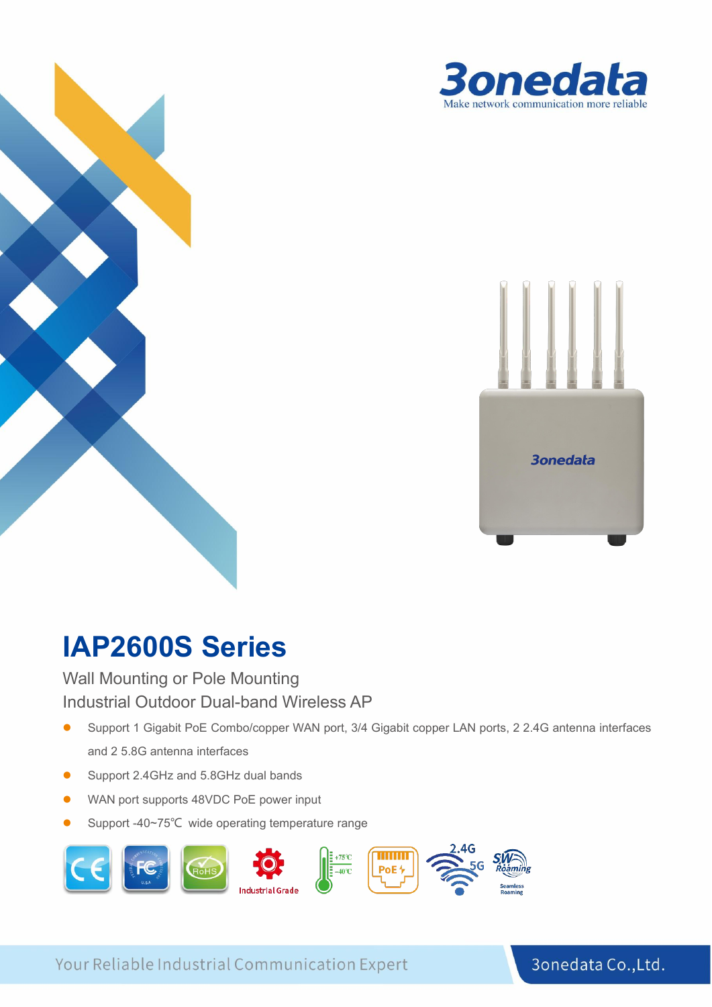



# **IAP2600S Series**

Wall Mounting or Pole Mounting Industrial Outdoor Dual-band Wireless AP

- Support 1 Gigabit PoE Combo/copper WAN port, 3/4 Gigabit copper LAN ports, 2 2.4G antenna interfaces and 2 5.8G antenna interfaces
- Support 2.4GHz and 5.8GHz dual bands
- WAN port supports 48VDC PoE power input
- Support -40~75℃ wide operating temperature range



Your Reliable Industrial Communication Expert

# **1**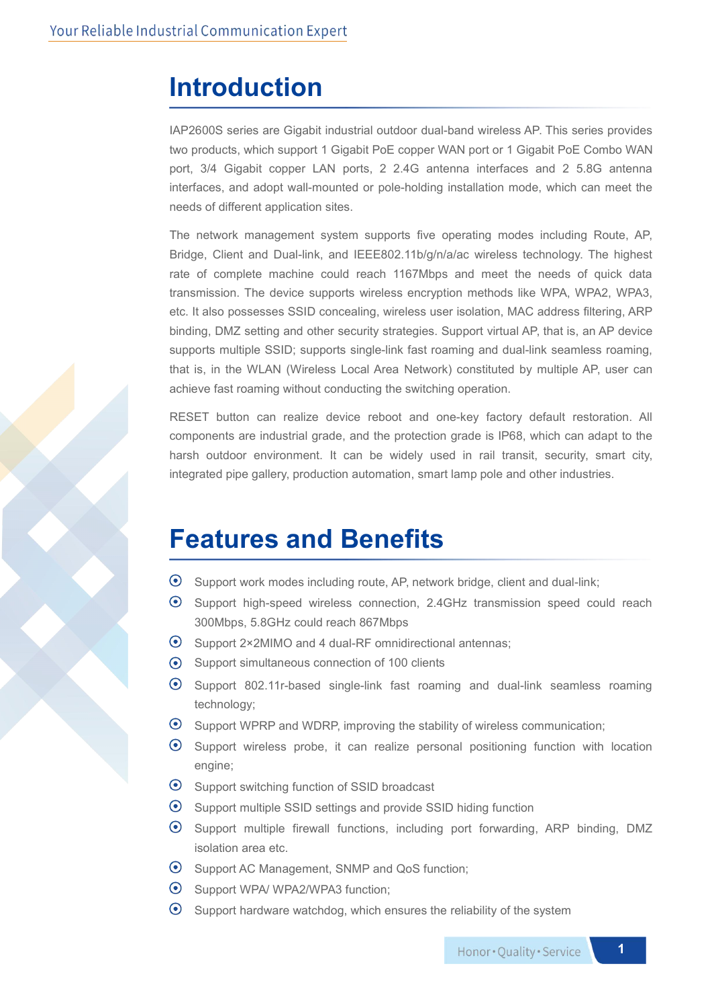#### **Introduction**

IAP2600S series are Gigabit industrial outdoor dual-band wireless AP. This series provides two products, which support 1 Gigabit PoE copper WAN port or 1 Gigabit PoE Combo WAN port, 3/4 Gigabit copper LAN ports, 2 2.4G antenna interfaces and 2 5.8G antenna interfaces, and adopt wall-mounted or pole-holding installation mode, which can meet the needs of different application sites.

The network management system supports five operating modes including Route, AP, Bridge, Client and Dual-link, and IEEE802.11b/g/n/a/ac wireless technology. The highest rate of complete machine could reach 1167Mbps and meet the needs of quick data transmission. The device supports wireless encryption methods like WPA, WPA2, WPA3, etc. It also possesses SSID concealing, wireless user isolation, MAC address filtering, ARP binding, DMZ setting and other security strategies. Support virtual AP, that is, an AP device supports multiple SSID; supports single-link fast roaming and dual-link seamless roaming, that is, in the WLAN (Wireless Local Area Network) constituted by multiple AP, user can achieve fast roaming without conducting the switching operation.

RESET button can realize device reboot and one-key factory default restoration. All components are industrial grade, and the protection grade isIP68, which can adapt to the harsh outdoor environment. It can be widely used in rail transit, security, smart city, integrated pipe gallery, production automation, smart lamp pole and other industries.

#### **Features and Benefits**

- Support work modes including route, AP, network bridge, client and dual-link;
- Support high-speed wireless connection, 2.4GHz transmission speed could reach 300Mbps, 5.8GHz could reach 867Mbps
- $\odot$  Support 2×2MIMO and 4 dual-RF omnidirectional antennas;
- Support simultaneous connection of 100 clients
- Support 802.11r-based single-link fast roaming and dual-link seamless roaming technology;
- Support WPRP and WDRP, improving the stability of wireless communication;
- Support wireless probe, it can realize personal positioning function with location engine;
- $\odot$ Support switching function of SSID broadcast
- Support multiple SSID settings and provide SSID hiding function
- Support multiple firewall functions, including port forwarding, ARP binding, DMZ isolation area etc.
- Support AC Management, SNMP and QoS function;
- Support WPA/ WPA2/WPA3 function;
- $\odot$ Support hardware watchdog, which ensures the reliability of the system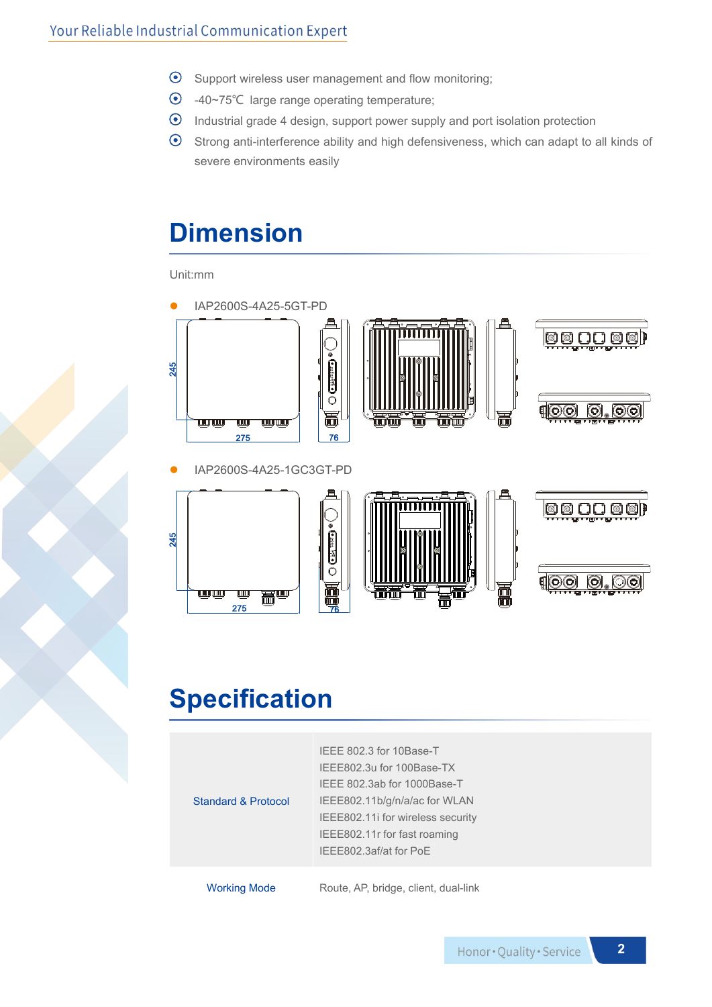- $\odot$  Support wireless user management and flow monitoring;
- -40~75℃ large range operating temperature;
- Industrial grade 4 design, support power supply and port isolation protection
- Strong anti-interference ability and high defensiveness, which can adapt to all kinds of severe environments easily

### **Dimension**

Unit:mm



## **Specification**

| <b>Standard &amp; Protocol</b> | IEEE 802.3 for 10Base-T<br>IEEE802.3u for 100Base-TX<br>IEEE 802.3ab for 1000Base-T<br>IEEE802.11b/g/n/a/ac for WLAN<br>IEEE802.11i for wireless security<br>IEEE802.11r for fast roaming |
|--------------------------------|-------------------------------------------------------------------------------------------------------------------------------------------------------------------------------------------|
|                                | IEEE802.3af/at for PoE                                                                                                                                                                    |
| <b>Working Mode</b>            | Route, AP, bridge, client, dual-link                                                                                                                                                      |

Honor . Quality . Service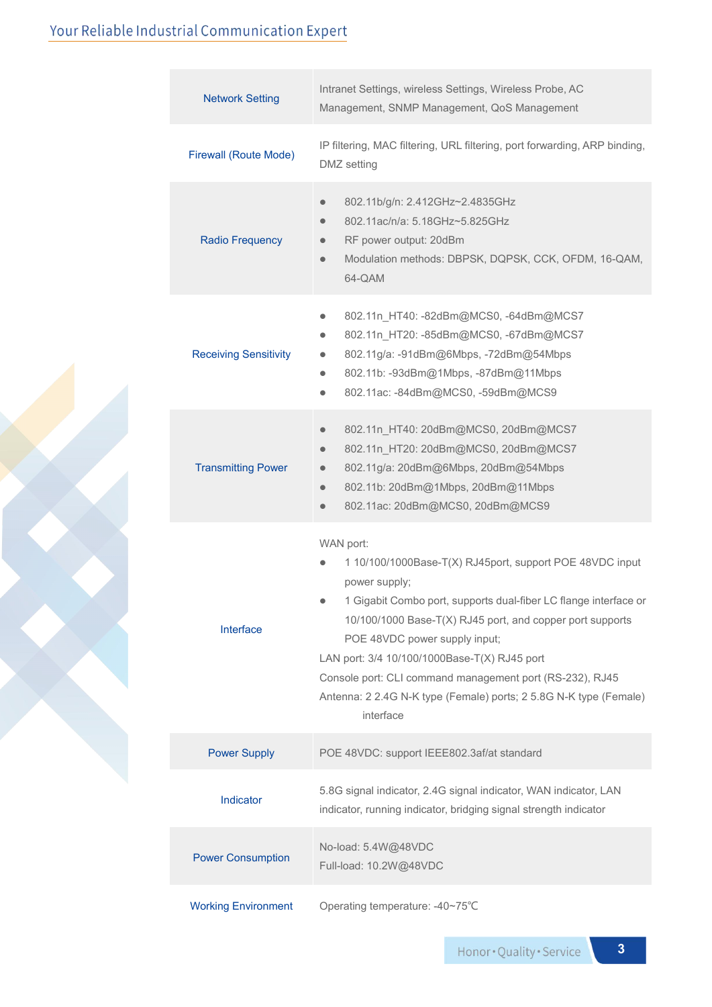#### Your Reliable Industrial Communication Expert

|  | Intranet Settings, wireless Settings, Wireless Probe, AC<br><b>Network Setting</b><br>Management, SNMP Management, QoS Management                                                                                      |                                                                                                                                                                                                                                                                                                                                                                                                                                                                     |  |
|--|------------------------------------------------------------------------------------------------------------------------------------------------------------------------------------------------------------------------|---------------------------------------------------------------------------------------------------------------------------------------------------------------------------------------------------------------------------------------------------------------------------------------------------------------------------------------------------------------------------------------------------------------------------------------------------------------------|--|
|  | <b>Firewall (Route Mode)</b>                                                                                                                                                                                           | IP filtering, MAC filtering, URL filtering, port forwarding, ARP binding,<br>DMZ setting                                                                                                                                                                                                                                                                                                                                                                            |  |
|  | <b>Radio Frequency</b>                                                                                                                                                                                                 | 802.11b/g/n: 2.412GHz~2.4835GHz<br>$\bullet$<br>802.11ac/n/a: 5.18GHz~5.825GHz<br>$\bullet$<br>RF power output: 20dBm<br>$\bullet$<br>Modulation methods: DBPSK, DQPSK, CCK, OFDM, 16-QAM,<br>$\bullet$<br>64-QAM                                                                                                                                                                                                                                                   |  |
|  | <b>Receiving Sensitivity</b>                                                                                                                                                                                           | 802.11n_HT40: -82dBm@MCS0, -64dBm@MCS7<br>$\bullet$<br>802.11n_HT20: -85dBm@MCS0, -67dBm@MCS7<br>$\bullet$<br>802.11g/a: -91dBm@6Mbps, -72dBm@54Mbps<br>$\bullet$<br>802.11b: -93dBm@1Mbps, -87dBm@11Mbps<br>$\bullet$<br>802.11ac: -84dBm@MCS0, -59dBm@MCS9<br>$\bullet$                                                                                                                                                                                           |  |
|  | <b>Transmitting Power</b>                                                                                                                                                                                              | 802.11n_HT40: 20dBm@MCS0, 20dBm@MCS7<br>$\bullet$<br>802.11n_HT20: 20dBm@MCS0, 20dBm@MCS7<br>$\bullet$<br>802.11g/a: 20dBm@6Mbps, 20dBm@54Mbps<br>$\bullet$<br>802.11b: 20dBm@1Mbps, 20dBm@11Mbps<br>$\bullet$<br>802.11ac: 20dBm@MCS0, 20dBm@MCS9<br>$\bullet$                                                                                                                                                                                                     |  |
|  | Interface                                                                                                                                                                                                              | WAN port:<br>1 10/100/1000Base-T(X) RJ45port, support POE 48VDC input<br>power supply;<br>1 Gigabit Combo port, supports dual-fiber LC flange interface or<br>$\bullet$<br>10/100/1000 Base-T(X) RJ45 port, and copper port supports<br>POE 48VDC power supply input;<br>LAN port: 3/4 10/100/1000Base-T(X) RJ45 port<br>Console port: CLI command management port (RS-232), RJ45<br>Antenna: 2 2.4G N-K type (Female) ports; 2 5.8G N-K type (Female)<br>interface |  |
|  | <b>Power Supply</b><br>POE 48VDC: support IEEE802.3af/at standard<br>5.8G signal indicator, 2.4G signal indicator, WAN indicator, LAN<br>Indicator<br>indicator, running indicator, bridging signal strength indicator |                                                                                                                                                                                                                                                                                                                                                                                                                                                                     |  |
|  |                                                                                                                                                                                                                        |                                                                                                                                                                                                                                                                                                                                                                                                                                                                     |  |
|  | <b>Power Consumption</b>                                                                                                                                                                                               | No-load: 5.4W@48VDC<br>Full-load: 10.2W@48VDC                                                                                                                                                                                                                                                                                                                                                                                                                       |  |
|  | <b>Working Environment</b>                                                                                                                                                                                             | Operating temperature: -40~75°C                                                                                                                                                                                                                                                                                                                                                                                                                                     |  |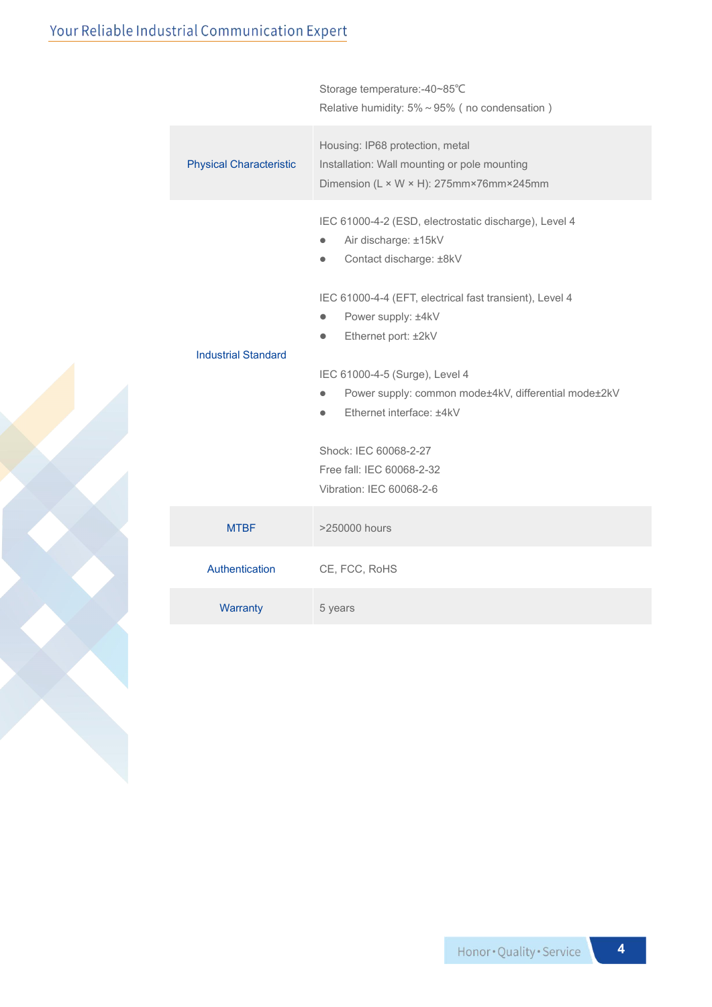|                                | Storage temperature:-40~85°C<br>Relative humidity: $5\% \sim 95\%$ (no condensation)                                                         |
|--------------------------------|----------------------------------------------------------------------------------------------------------------------------------------------|
| <b>Physical Characteristic</b> | Housing: IP68 protection, metal<br>Installation: Wall mounting or pole mounting<br>Dimension (L × W × H): 275mm×76mm×245mm                   |
|                                | IEC 61000-4-2 (ESD, electrostatic discharge), Level 4<br>Air discharge: ±15kV<br>$\bullet$<br>Contact discharge: ±8kV<br>$\bullet$           |
| <b>Industrial Standard</b>     | IEC 61000-4-4 (EFT, electrical fast transient), Level 4<br>Power supply: ±4kV<br>$\bullet$<br>Ethernet port: ±2kV<br>$\bullet$               |
|                                | IEC 61000-4-5 (Surge), Level 4<br>Power supply: common mode±4kV, differential mode±2kV<br>$\bullet$<br>Ethernet interface: ±4kV<br>$\bullet$ |
|                                | Shock: IEC 60068-2-27<br>Free fall: IEC 60068-2-32<br>Vibration: IEC 60068-2-6                                                               |
| <b>MTBF</b>                    | >250000 hours                                                                                                                                |
| Authentication                 | CE, FCC, RoHS                                                                                                                                |
| Warranty                       | 5 years                                                                                                                                      |